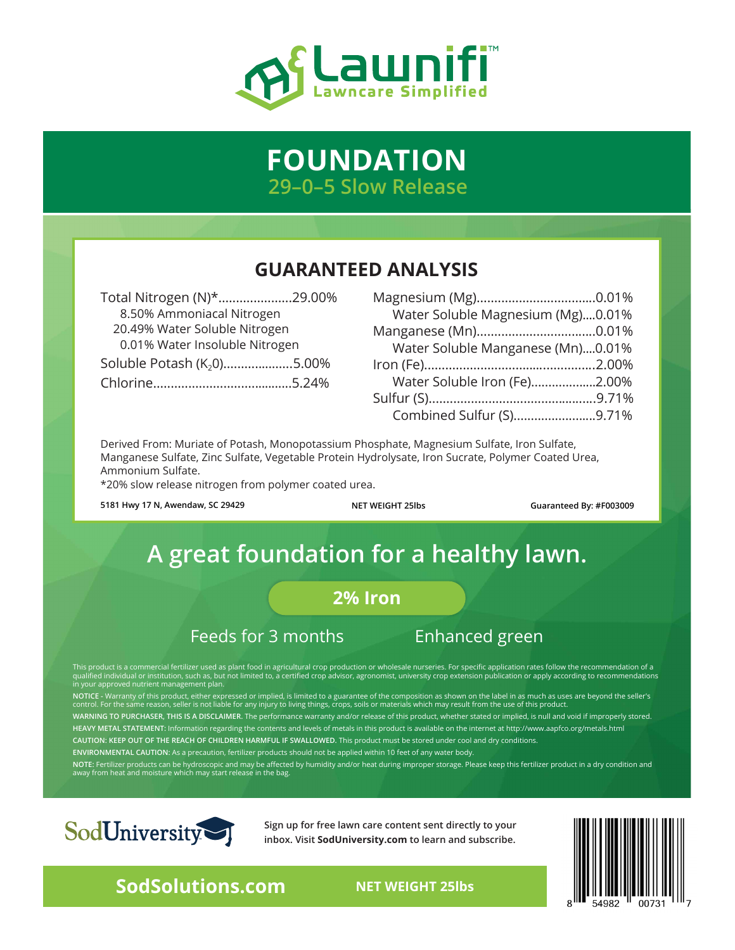

# **FOUNDATION 29–0–5 Slow Release**

## **GUARANTEED ANALYSIS**

| Total Nitrogen (N)*29.00%              |  |
|----------------------------------------|--|
| 8.50% Ammoniacal Nitrogen              |  |
| 20.49% Water Soluble Nitrogen          |  |
| 0.01% Water Insoluble Nitrogen         |  |
| Soluble Potash (K <sub>2</sub> 0)5.00% |  |
|                                        |  |

| Water Soluble Magnesium (Mg)0.01% |  |
|-----------------------------------|--|
|                                   |  |
| Water Soluble Manganese (Mn)0.01% |  |
|                                   |  |
| Water Soluble Iron (Fe)2.00%      |  |
|                                   |  |
| Combined Sulfur (S)9.71%          |  |

Derived From: Muriate of Potash, Monopotassium Phosphate, Magnesium Sulfate, Iron Sulfate, Manganese Sulfate, Zinc Sulfate, Vegetable Protein Hydrolysate, Iron Sucrate, Polymer Coated Urea, Ammonium Sulfate.

\*20% slow release nitrogen from polymer coated urea.

**5181 Hwy 17 N, Awendaw, SC 29429 NET WEIGHT 25lbs Guaranteed By: #F003009**

# **A great foundation for a healthy lawn.**

## **2% Iron**

## Feeds for 3 months Enhanced green

This product is a commercial fertilizer used as plant food in agricultural crop production or wholesale nurseries. For specific application rates follow the recommendation of a<br>qualified individual or institution, such as,

NOTICE - Warranty of this product, either expressed or implied, is limited to a guarantee of the composition as shown on the label in as much as uses are beyond the seller's<br>control. For the same reason, seller is not liab **WARNING TO PURCHASER, THIS IS A DISCLAIMER.** The performance warranty and/or release of this product, whether stated or implied, is null and void if improperly stored. **HEAVY METAL STATEMENT:** Information regarding the contents and levels of metals in this product is available on the internet at http://www.aapfco.org/metals.html **CAUTION: KEEP OUT OF THE REACH OF CHILDREN HARMFUL IF SWALLOWED.** This product must be stored under cool and dry conditions.

**ENVIRONMENTAL CAUTION:** As a precaution, fertilizer products should not be applied within 10 feet of any water body.

**NOTE:** Fertilizer products can be hydroscopic and may be affected by humidity and/or heat during improper storage. Please keep this fertilizer product in a dry condition and<br>away from heat and moisture which may start rel



**Sign up for free lawn care content sent directly to your inbox. Visit SodUniversity.com to learn and subscribe.** 



**SodSolutions.com** NET WEIGHT 25lbs